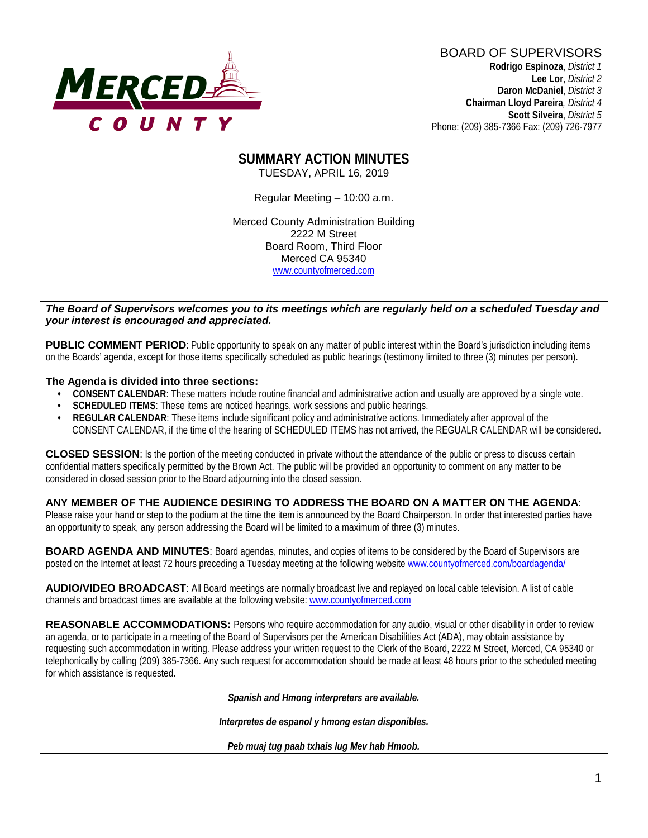

BOARD OF SUPERVISORS **Rodrigo Espinoza**, *District 1*  **Lee Lor**, *District 2*  **Daron McDaniel**, *District 3* **Chairman Lloyd Pareira***, District 4*  **Scott Silveira**, *District 5* Phone: (209) 385-7366 Fax: (209) 726-7977

#### **SUMMARY ACTION MINUTES** TUESDAY, APRIL 16, 2019

Regular Meeting – 10:00 a.m.

Merced County Administration Building 2222 M Street Board Room, Third Floor Merced CA 95340 www.countyofmerced.com

#### *The Board of Supervisors welcomes you to its meetings which are regularly held on a scheduled Tuesday and your interest is encouraged and appreciated.*

**PUBLIC COMMENT PERIOD:** Public opportunity to speak on any matter of public interest within the Board's jurisdiction including items on the Boards' agenda, except for those items specifically scheduled as public hearings (testimony limited to three (3) minutes per person).

#### **The Agenda is divided into three sections:**

- **CONSENT CALENDAR**: These matters include routine financial and administrative action and usually are approved by a single vote.
- **SCHEDULED ITEMS:** These items are noticed hearings, work sessions and public hearings.
- **REGULAR CALENDAR**: These items include significant policy and administrative actions. Immediately after approval of the CONSENT CALENDAR, if the time of the hearing of SCHEDULED ITEMS has not arrived, the REGUALR CALENDAR will be considered.

**CLOSED SESSION**: Is the portion of the meeting conducted in private without the attendance of the public or press to discuss certain confidential matters specifically permitted by the Brown Act. The public will be provided an opportunity to comment on any matter to be considered in closed session prior to the Board adjourning into the closed session.

#### **ANY MEMBER OF THE AUDIENCE DESIRING TO ADDRESS THE BOARD ON A MATTER ON THE AGENDA**:

Please raise your hand or step to the podium at the time the item is announced by the Board Chairperson. In order that interested parties have an opportunity to speak, any person addressing the Board will be limited to a maximum of three (3) minutes.

**BOARD AGENDA AND MINUTES:** Board agendas, minutes, and copies of items to be considered by the Board of Supervisors are posted on the Internet at least 72 hours preceding a Tuesday meeting at the following website [www.countyofmerced.com/boardagenda/](http://www.countyofmerced.com/boardagenda/) 

**AUDIO/VIDEO BROADCAST**: All Board meetings are normally broadcast live and replayed on local cable television. A list of cable channels and broadcast times are available at the following website[: www.countyofmerced.com](http://www.countyofmerced.com/)

**REASONABLE ACCOMMODATIONS:** Persons who require accommodation for any audio, visual or other disability in order to review an agenda, or to participate in a meeting of the Board of Supervisors per the American Disabilities Act (ADA), may obtain assistance by requesting such accommodation in writing. Please address your written request to the Clerk of the Board, 2222 M Street, Merced, CA 95340 or telephonically by calling (209) 385-7366. Any such request for accommodation should be made at least 48 hours prior to the scheduled meeting for which assistance is requested.

*Spanish and Hmong interpreters are available.*

*Interpretes de espanol y hmong estan disponibles.*

*Peb muaj tug paab txhais lug Mev hab Hmoob.*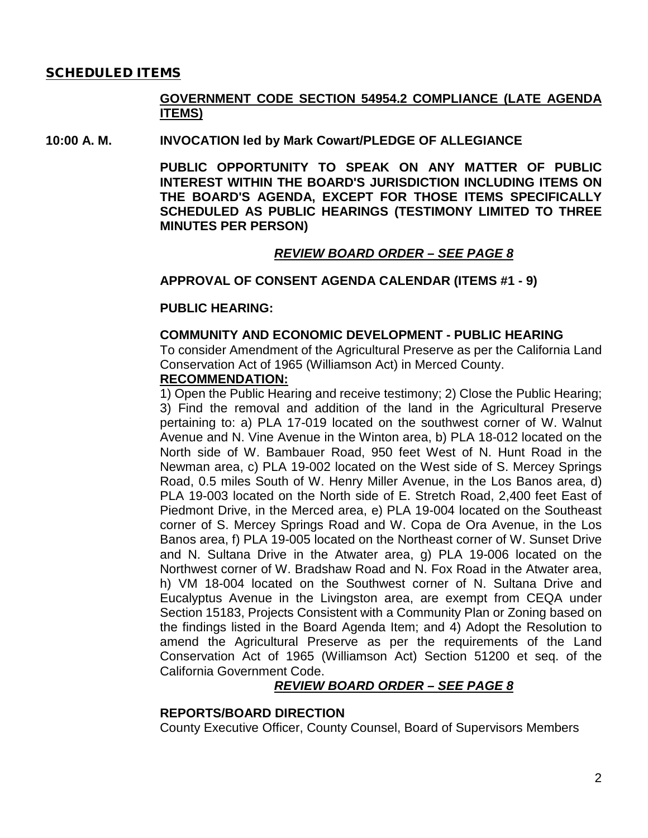#### SCHEDULED ITEMS

### **GOVERNMENT CODE SECTION 54954.2 COMPLIANCE (LATE AGENDA ITEMS)**

#### **10:00 A. M. INVOCATION led by Mark Cowart/PLEDGE OF ALLEGIANCE**

**PUBLIC OPPORTUNITY TO SPEAK ON ANY MATTER OF PUBLIC INTEREST WITHIN THE BOARD'S JURISDICTION INCLUDING ITEMS ON THE BOARD'S AGENDA, EXCEPT FOR THOSE ITEMS SPECIFICALLY SCHEDULED AS PUBLIC HEARINGS (TESTIMONY LIMITED TO THREE MINUTES PER PERSON)**

### *REVIEW BOARD ORDER – SEE PAGE 8*

#### **APPROVAL OF CONSENT AGENDA CALENDAR (ITEMS #1 - 9)**

#### **PUBLIC HEARING:**

#### **COMMUNITY AND ECONOMIC DEVELOPMENT - PUBLIC HEARING**

To consider Amendment of the Agricultural Preserve as per the California Land Conservation Act of 1965 (Williamson Act) in Merced County.

## **RECOMMENDATION:**

1) Open the Public Hearing and receive testimony; 2) Close the Public Hearing; 3) Find the removal and addition of the land in the Agricultural Preserve pertaining to: a) PLA 17-019 located on the southwest corner of W. Walnut Avenue and N. Vine Avenue in the Winton area, b) PLA 18-012 located on the North side of W. Bambauer Road, 950 feet West of N. Hunt Road in the Newman area, c) PLA 19-002 located on the West side of S. Mercey Springs Road, 0.5 miles South of W. Henry Miller Avenue, in the Los Banos area, d) PLA 19-003 located on the North side of E. Stretch Road, 2,400 feet East of Piedmont Drive, in the Merced area, e) PLA 19-004 located on the Southeast corner of S. Mercey Springs Road and W. Copa de Ora Avenue, in the Los Banos area, f) PLA 19-005 located on the Northeast corner of W. Sunset Drive and N. Sultana Drive in the Atwater area, g) PLA 19-006 located on the Northwest corner of W. Bradshaw Road and N. Fox Road in the Atwater area, h) VM 18-004 located on the Southwest corner of N. Sultana Drive and Eucalyptus Avenue in the Livingston area, are exempt from CEQA under Section 15183, Projects Consistent with a Community Plan or Zoning based on the findings listed in the Board Agenda Item; and 4) Adopt the Resolution to amend the Agricultural Preserve as per the requirements of the Land Conservation Act of 1965 (Williamson Act) Section 51200 et seq. of the California Government Code.

### *REVIEW BOARD ORDER – SEE PAGE 8*

#### **REPORTS/BOARD DIRECTION**

County Executive Officer, County Counsel, Board of Supervisors Members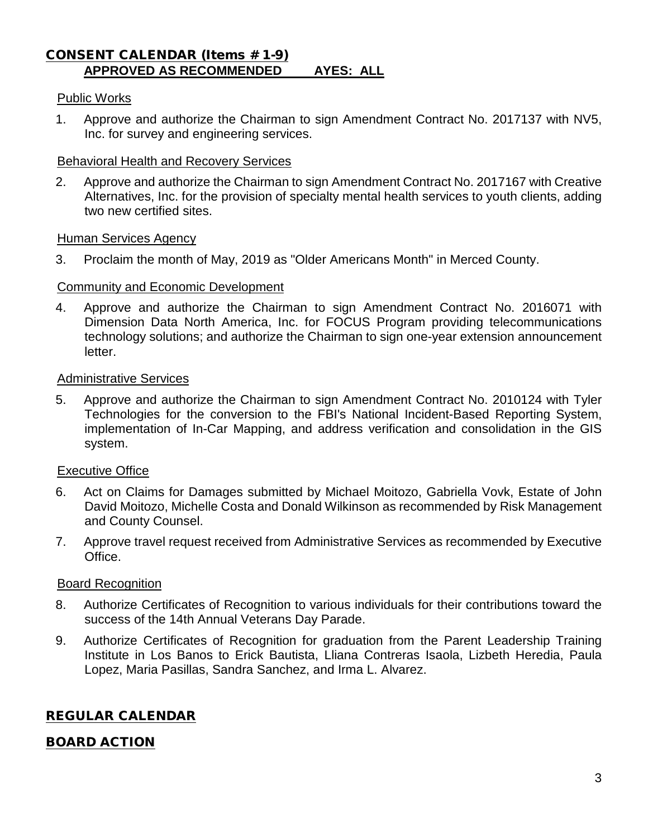### CONSENT CALENDAR (Items # 1-9) **APPROVED AS RECOMMENDED AYES: ALL**

### Public Works

1. Approve and authorize the Chairman to sign Amendment Contract No. 2017137 with NV5, Inc. for survey and engineering services.

### Behavioral Health and Recovery Services

2. Approve and authorize the Chairman to sign Amendment Contract No. 2017167 with Creative Alternatives, Inc. for the provision of specialty mental health services to youth clients, adding two new certified sites.

#### Human Services Agency

3. Proclaim the month of May, 2019 as "Older Americans Month" in Merced County.

### Community and Economic Development

4. Approve and authorize the Chairman to sign Amendment Contract No. 2016071 with Dimension Data North America, Inc. for FOCUS Program providing telecommunications technology solutions; and authorize the Chairman to sign one-year extension announcement letter.

#### Administrative Services

5. Approve and authorize the Chairman to sign Amendment Contract No. 2010124 with Tyler Technologies for the conversion to the FBI's National Incident-Based Reporting System, implementation of In-Car Mapping, and address verification and consolidation in the GIS system.

### Executive Office

- 6. Act on Claims for Damages submitted by Michael Moitozo, Gabriella Vovk, Estate of John David Moitozo, Michelle Costa and Donald Wilkinson as recommended by Risk Management and County Counsel.
- 7. Approve travel request received from Administrative Services as recommended by Executive Office.

### Board Recognition

- 8. Authorize Certificates of Recognition to various individuals for their contributions toward the success of the 14th Annual Veterans Day Parade.
- 9. Authorize Certificates of Recognition for graduation from the Parent Leadership Training Institute in Los Banos to Erick Bautista, Lliana Contreras Isaola, Lizbeth Heredia, Paula Lopez, Maria Pasillas, Sandra Sanchez, and Irma L. Alvarez.

## REGULAR CALENDAR

## BOARD ACTION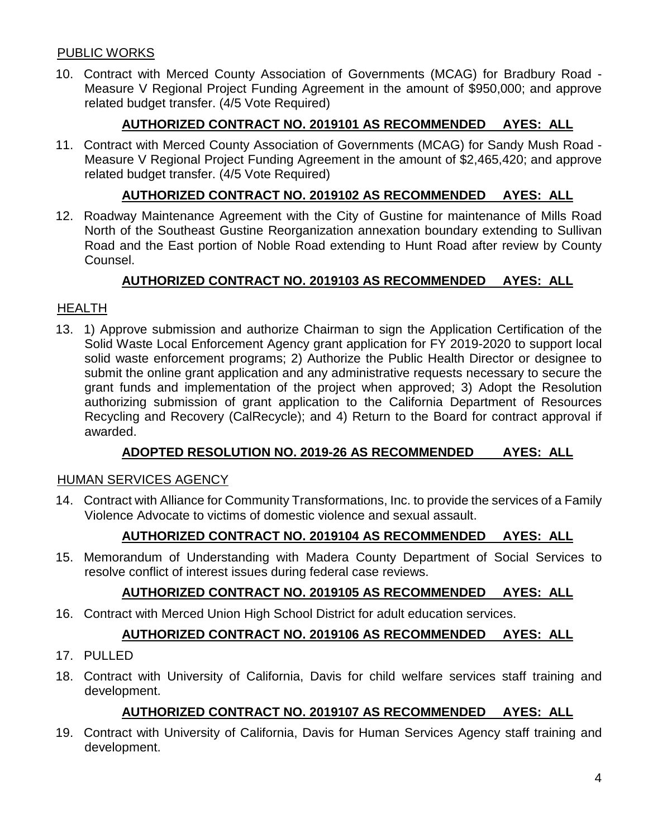## PUBLIC WORKS

10. Contract with Merced County Association of Governments (MCAG) for Bradbury Road - Measure V Regional Project Funding Agreement in the amount of \$950,000; and approve related budget transfer. (4/5 Vote Required)

## **AUTHORIZED CONTRACT NO. 2019101 AS RECOMMENDED AYES: ALL**

11. Contract with Merced County Association of Governments (MCAG) for Sandy Mush Road - Measure V Regional Project Funding Agreement in the amount of \$2,465,420; and approve related budget transfer. (4/5 Vote Required)

## **AUTHORIZED CONTRACT NO. 2019102 AS RECOMMENDED AYES: ALL**

12. Roadway Maintenance Agreement with the City of Gustine for maintenance of Mills Road North of the Southeast Gustine Reorganization annexation boundary extending to Sullivan Road and the East portion of Noble Road extending to Hunt Road after review by County Counsel.

## **AUTHORIZED CONTRACT NO. 2019103 AS RECOMMENDED AYES: ALL**

### HEALTH

13. 1) Approve submission and authorize Chairman to sign the Application Certification of the Solid Waste Local Enforcement Agency grant application for FY 2019-2020 to support local solid waste enforcement programs; 2) Authorize the Public Health Director or designee to submit the online grant application and any administrative requests necessary to secure the grant funds and implementation of the project when approved; 3) Adopt the Resolution authorizing submission of grant application to the California Department of Resources Recycling and Recovery (CalRecycle); and 4) Return to the Board for contract approval if awarded.

## **ADOPTED RESOLUTION NO. 2019-26 AS RECOMMENDED AYES: ALL**

### HUMAN SERVICES AGENCY

14. Contract with Alliance for Community Transformations, Inc. to provide the services of a Family Violence Advocate to victims of domestic violence and sexual assault.

# **AUTHORIZED CONTRACT NO. 2019104 AS RECOMMENDED AYES: ALL**

15. Memorandum of Understanding with Madera County Department of Social Services to resolve conflict of interest issues during federal case reviews.

# **AUTHORIZED CONTRACT NO. 2019105 AS RECOMMENDED AYES: ALL**

16. Contract with Merced Union High School District for adult education services.

# **AUTHORIZED CONTRACT NO. 2019106 AS RECOMMENDED AYES: ALL**

### 17. PULLED

18. Contract with University of California, Davis for child welfare services staff training and development.

## **AUTHORIZED CONTRACT NO. 2019107 AS RECOMMENDED AYES: ALL**

19. Contract with University of California, Davis for Human Services Agency staff training and development.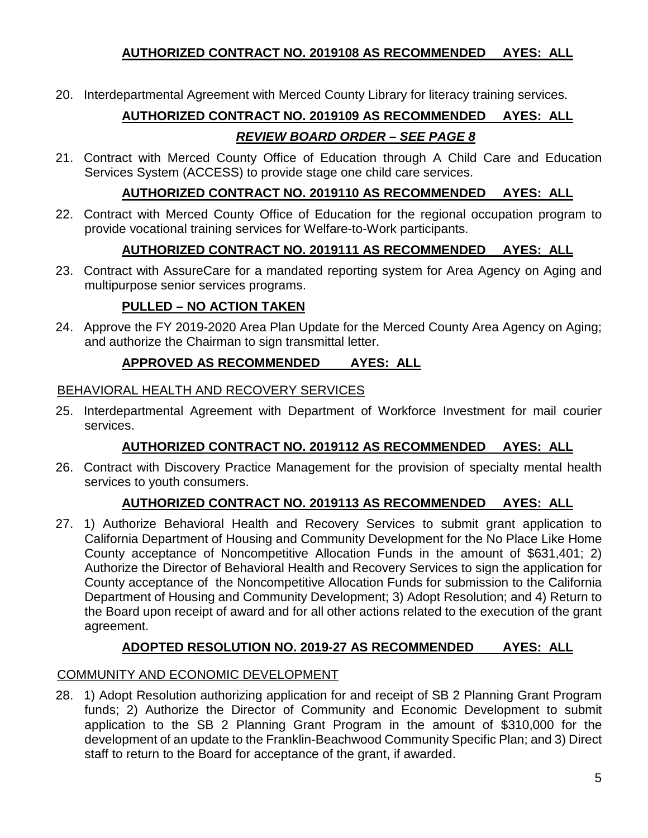## **AUTHORIZED CONTRACT NO. 2019108 AS RECOMMENDED AYES: ALL**

20. Interdepartmental Agreement with Merced County Library for literacy training services.

# **AUTHORIZED CONTRACT NO. 2019109 AS RECOMMENDED AYES: ALL**

# *REVIEW BOARD ORDER – SEE PAGE 8*

21. Contract with Merced County Office of Education through A Child Care and Education Services System (ACCESS) to provide stage one child care services.

## **AUTHORIZED CONTRACT NO. 2019110 AS RECOMMENDED AYES: ALL**

22. Contract with Merced County Office of Education for the regional occupation program to provide vocational training services for Welfare-to-Work participants.

# **AUTHORIZED CONTRACT NO. 2019111 AS RECOMMENDED AYES: ALL**

23. Contract with AssureCare for a mandated reporting system for Area Agency on Aging and multipurpose senior services programs.

# **PULLED – NO ACTION TAKEN**

24. Approve the FY 2019-2020 Area Plan Update for the Merced County Area Agency on Aging; and authorize the Chairman to sign transmittal letter.

# **APPROVED AS RECOMMENDED AYES: ALL**

## BEHAVIORAL HEALTH AND RECOVERY SERVICES

25. Interdepartmental Agreement with Department of Workforce Investment for mail courier services.

# **AUTHORIZED CONTRACT NO. 2019112 AS RECOMMENDED AYES: ALL**

26. Contract with Discovery Practice Management for the provision of specialty mental health services to youth consumers.

# **AUTHORIZED CONTRACT NO. 2019113 AS RECOMMENDED AYES: ALL**

27. 1) Authorize Behavioral Health and Recovery Services to submit grant application to California Department of Housing and Community Development for the No Place Like Home County acceptance of Noncompetitive Allocation Funds in the amount of \$631,401; 2) Authorize the Director of Behavioral Health and Recovery Services to sign the application for County acceptance of the Noncompetitive Allocation Funds for submission to the California Department of Housing and Community Development; 3) Adopt Resolution; and 4) Return to the Board upon receipt of award and for all other actions related to the execution of the grant agreement.

# **ADOPTED RESOLUTION NO. 2019-27 AS RECOMMENDED AYES: ALL**

# COMMUNITY AND ECONOMIC DEVELOPMENT

28. 1) Adopt Resolution authorizing application for and receipt of SB 2 Planning Grant Program funds; 2) Authorize the Director of Community and Economic Development to submit application to the SB 2 Planning Grant Program in the amount of \$310,000 for the development of an update to the Franklin-Beachwood Community Specific Plan; and 3) Direct staff to return to the Board for acceptance of the grant, if awarded.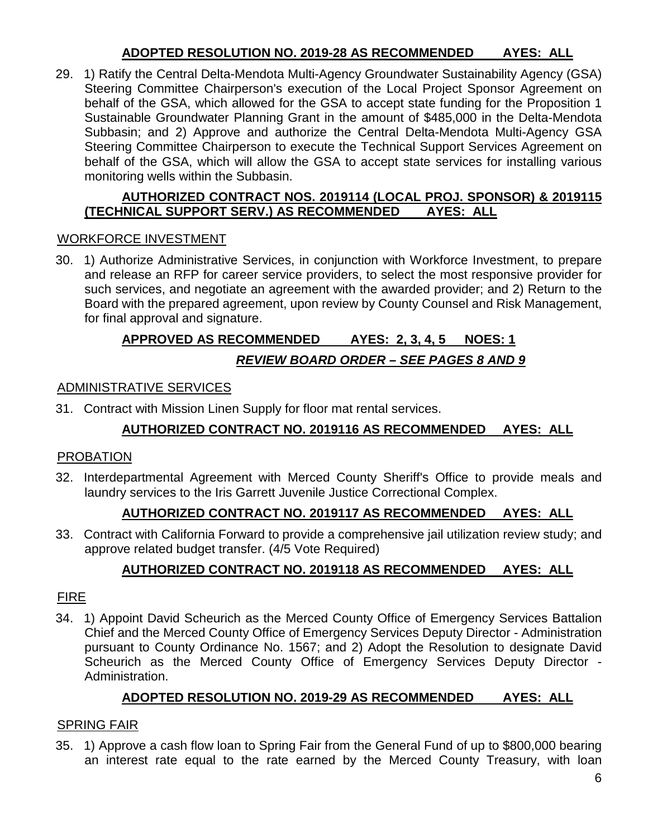## **ADOPTED RESOLUTION NO. 2019-28 AS RECOMMENDED AYES: ALL**

29. 1) Ratify the Central Delta-Mendota Multi-Agency Groundwater Sustainability Agency (GSA) Steering Committee Chairperson's execution of the Local Project Sponsor Agreement on behalf of the GSA, which allowed for the GSA to accept state funding for the Proposition 1 Sustainable Groundwater Planning Grant in the amount of \$485,000 in the Delta-Mendota Subbasin; and 2) Approve and authorize the Central Delta-Mendota Multi-Agency GSA Steering Committee Chairperson to execute the Technical Support Services Agreement on behalf of the GSA, which will allow the GSA to accept state services for installing various monitoring wells within the Subbasin.

## **AUTHORIZED CONTRACT NOS. 2019114 (LOCAL PROJ. SPONSOR) & 2019115 (TECHNICAL SUPPORT SERV.) AS RECOMMENDED**

## WORKFORCE INVESTMENT

30. 1) Authorize Administrative Services, in conjunction with Workforce Investment, to prepare and release an RFP for career service providers, to select the most responsive provider for such services, and negotiate an agreement with the awarded provider; and 2) Return to the Board with the prepared agreement, upon review by County Counsel and Risk Management, for final approval and signature.

# **APPROVED AS RECOMMENDED AYES: 2, 3, 4, 5 NOES: 1**

# *REVIEW BOARD ORDER – SEE PAGES 8 AND 9*

### ADMINISTRATIVE SERVICES

31. Contract with Mission Linen Supply for floor mat rental services.

# **AUTHORIZED CONTRACT NO. 2019116 AS RECOMMENDED AYES: ALL**

## PROBATION

32. Interdepartmental Agreement with Merced County Sheriff's Office to provide meals and laundry services to the Iris Garrett Juvenile Justice Correctional Complex.

## **AUTHORIZED CONTRACT NO. 2019117 AS RECOMMENDED AYES: ALL**

33. Contract with California Forward to provide a comprehensive jail utilization review study; and approve related budget transfer. (4/5 Vote Required)

# **AUTHORIZED CONTRACT NO. 2019118 AS RECOMMENDED AYES: ALL**

## FIRE

34. 1) Appoint David Scheurich as the Merced County Office of Emergency Services Battalion Chief and the Merced County Office of Emergency Services Deputy Director - Administration pursuant to County Ordinance No. 1567; and 2) Adopt the Resolution to designate David Scheurich as the Merced County Office of Emergency Services Deputy Director - Administration.

# **ADOPTED RESOLUTION NO. 2019-29 AS RECOMMENDED AYES: ALL**

## SPRING FAIR

35. 1) Approve a cash flow loan to Spring Fair from the General Fund of up to \$800,000 bearing an interest rate equal to the rate earned by the Merced County Treasury, with loan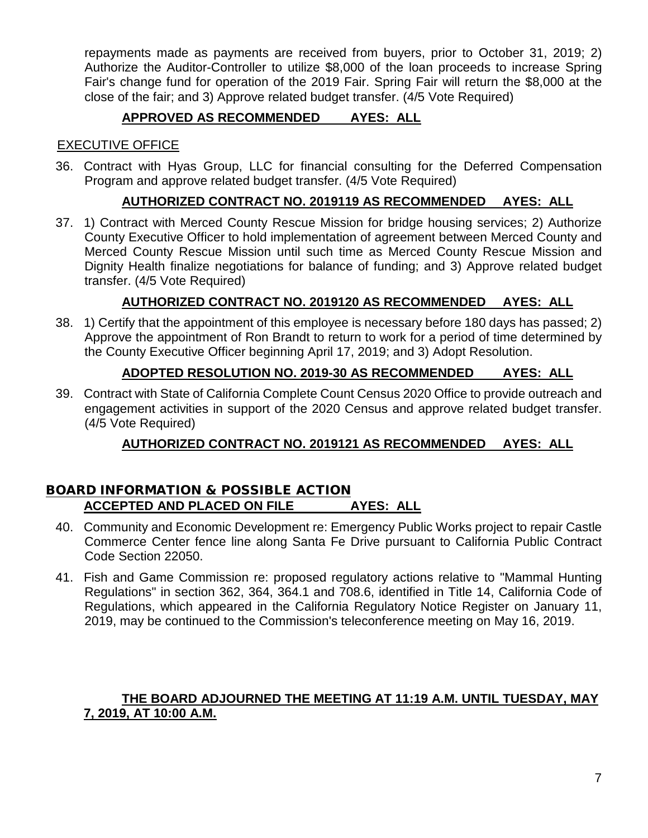repayments made as payments are received from buyers, prior to October 31, 2019; 2) Authorize the Auditor-Controller to utilize \$8,000 of the loan proceeds to increase Spring Fair's change fund for operation of the 2019 Fair. Spring Fair will return the \$8,000 at the close of the fair; and 3) Approve related budget transfer. (4/5 Vote Required)

# **APPROVED AS RECOMMENDED AYES: ALL**

### EXECUTIVE OFFICE

36. Contract with Hyas Group, LLC for financial consulting for the Deferred Compensation Program and approve related budget transfer. (4/5 Vote Required)

## **AUTHORIZED CONTRACT NO. 2019119 AS RECOMMENDED AYES: ALL**

37. 1) Contract with Merced County Rescue Mission for bridge housing services; 2) Authorize County Executive Officer to hold implementation of agreement between Merced County and Merced County Rescue Mission until such time as Merced County Rescue Mission and Dignity Health finalize negotiations for balance of funding; and 3) Approve related budget transfer. (4/5 Vote Required)

# **AUTHORIZED CONTRACT NO. 2019120 AS RECOMMENDED AYES: ALL**

38. 1) Certify that the appointment of this employee is necessary before 180 days has passed; 2) Approve the appointment of Ron Brandt to return to work for a period of time determined by the County Executive Officer beginning April 17, 2019; and 3) Adopt Resolution.

## **ADOPTED RESOLUTION NO. 2019-30 AS RECOMMENDED AYES: ALL**

39. Contract with State of California Complete Count Census 2020 Office to provide outreach and engagement activities in support of the 2020 Census and approve related budget transfer. (4/5 Vote Required)

# **AUTHORIZED CONTRACT NO. 2019121 AS RECOMMENDED AYES: ALL**

### BOARD INFORMATION & POSSIBLE ACTION **ACCEPTED AND PLACED ON FILE AYES: ALL**

- 40. Community and Economic Development re: Emergency Public Works project to repair Castle Commerce Center fence line along Santa Fe Drive pursuant to California Public Contract Code Section 22050.
- 41. Fish and Game Commission re: proposed regulatory actions relative to "Mammal Hunting Regulations" in section 362, 364, 364.1 and 708.6, identified in Title 14, California Code of Regulations, which appeared in the California Regulatory Notice Register on January 11, 2019, may be continued to the Commission's teleconference meeting on May 16, 2019.

## **THE BOARD ADJOURNED THE MEETING AT 11:19 A.M. UNTIL TUESDAY, MAY 7, 2019, AT 10:00 A.M.**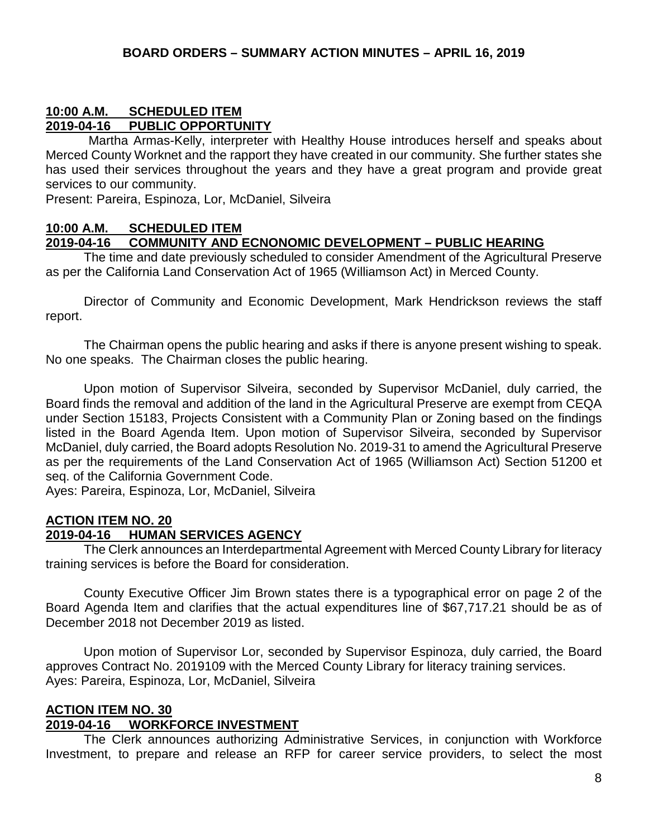### **10:00 A.M. SCHEDULED ITEM 2019-04-16 PUBLIC OPPORTUNITY**

Martha Armas-Kelly, interpreter with Healthy House introduces herself and speaks about Merced County Worknet and the rapport they have created in our community. She further states she has used their services throughout the years and they have a great program and provide great services to our community.

Present: Pareira, Espinoza, Lor, McDaniel, Silveira

### **10:00 A.M. SCHEDULED ITEM**

### **2019-04-16 COMMUNITY AND ECNONOMIC DEVELOPMENT – PUBLIC HEARING**

The time and date previously scheduled to consider Amendment of the Agricultural Preserve as per the California Land Conservation Act of 1965 (Williamson Act) in Merced County.

Director of Community and Economic Development, Mark Hendrickson reviews the staff report.

The Chairman opens the public hearing and asks if there is anyone present wishing to speak. No one speaks. The Chairman closes the public hearing.

Upon motion of Supervisor Silveira, seconded by Supervisor McDaniel, duly carried, the Board finds the removal and addition of the land in the Agricultural Preserve are exempt from CEQA under Section 15183, Projects Consistent with a Community Plan or Zoning based on the findings listed in the Board Agenda Item. Upon motion of Supervisor Silveira, seconded by Supervisor McDaniel, duly carried, the Board adopts Resolution No. 2019-31 to amend the Agricultural Preserve as per the requirements of the Land Conservation Act of 1965 (Williamson Act) Section 51200 et seq. of the California Government Code.

Ayes: Pareira, Espinoza, Lor, McDaniel, Silveira

### **ACTION ITEM NO. 20 2019-04-16 HUMAN SERVICES AGENCY**

The Clerk announces an Interdepartmental Agreement with Merced County Library for literacy training services is before the Board for consideration.

County Executive Officer Jim Brown states there is a typographical error on page 2 of the Board Agenda Item and clarifies that the actual expenditures line of \$67,717.21 should be as of December 2018 not December 2019 as listed.

Upon motion of Supervisor Lor, seconded by Supervisor Espinoza, duly carried, the Board approves Contract No. 2019109 with the Merced County Library for literacy training services. Ayes: Pareira, Espinoza, Lor, McDaniel, Silveira

# **ACTION ITEM NO. 30**

## **2019-04-16 WORKFORCE INVESTMENT**

The Clerk announces authorizing Administrative Services, in conjunction with Workforce Investment, to prepare and release an RFP for career service providers, to select the most